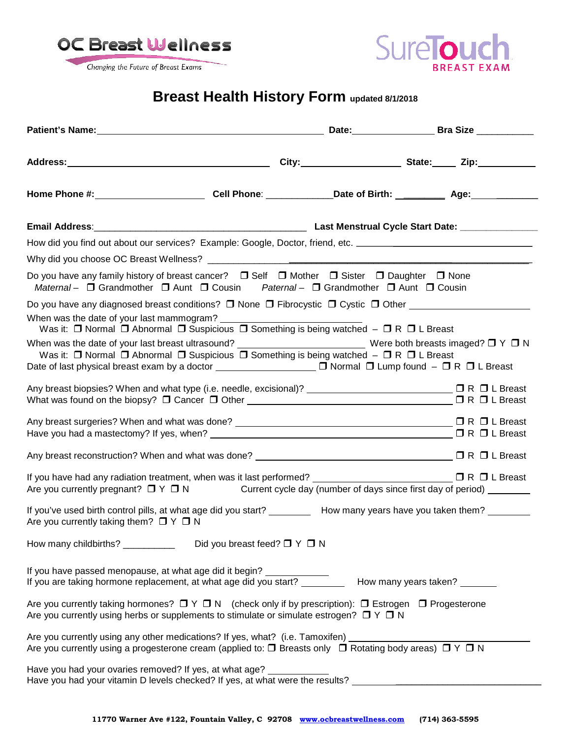

Changing the Future of Breast Exams



## **Breast Health History Form updated 8/1/2018**

| How did you find out about our services? Example: Google, Doctor, friend, etc. _______________________________                                                                                                                                         |                                      |  |  |  |
|--------------------------------------------------------------------------------------------------------------------------------------------------------------------------------------------------------------------------------------------------------|--------------------------------------|--|--|--|
|                                                                                                                                                                                                                                                        |                                      |  |  |  |
| Do you have any family history of breast cancer? $\square$ Self $\square$ Mother $\square$ Sister $\square$ Daughter $\square$ None<br>Maternal - $\Box$ Grandmother $\Box$ Aunt $\Box$ Cousin Paternal - $\Box$ Grandmother $\Box$ Aunt $\Box$ Cousin |                                      |  |  |  |
| Do you have any diagnosed breast conditions? $\square$ None $\square$ Fibrocystic $\square$ Cystic $\square$ Other $\square$                                                                                                                           |                                      |  |  |  |
| Was it: $\Box$ Normal $\Box$ Abnormal $\Box$ Suspicious $\Box$ Something is being watched $-\Box R$ $\Box L$ Breast                                                                                                                                    |                                      |  |  |  |
| When was the date of your last breast ultrasound? $\qquad \qquad \qquad $ Were both breasts imaged? $\Box$ Y $\Box$ N<br>Was it: $\Box$ Normal $\Box$ Abnormal $\Box$ Suspicious $\Box$ Something is being watched $-\Box R$ $\Box L$ Breast           |                                      |  |  |  |
|                                                                                                                                                                                                                                                        |                                      |  |  |  |
|                                                                                                                                                                                                                                                        |                                      |  |  |  |
|                                                                                                                                                                                                                                                        |                                      |  |  |  |
| Are you currently pregnant? $\Box Y \Box N$ Current cycle day (number of days since first day of period) _______                                                                                                                                       |                                      |  |  |  |
| If you've used birth control pills, at what age did you start? __________ How many years have you taken them? _______<br>Are you currently taking them? $\Box Y \Box N$                                                                                |                                      |  |  |  |
| How many childbirths? ___________                                                                                                                                                                                                                      | Did you breast feed? $\Box Y \Box N$ |  |  |  |
| If you have passed menopause, at what age did it begin? ________________________<br>If you are taking hormone replacement, at what age did you start? _____________<br>How many years taken?                                                           |                                      |  |  |  |
| Are you currently taking hormones? $\Box Y \Box N$ (check only if by prescription): $\Box$ Estrogen $\Box$ Progesterone<br>Are you currently using herbs or supplements to stimulate or simulate estrogen? $\Box$ Y $\Box$ N                           |                                      |  |  |  |
| Are you currently using any other medications? If yes, what? (i.e. Tamoxifen) _______<br>Are you currently using a progesterone cream (applied to: $\Box$ Breasts only $\Box$ Rotating body areas) $\Box$ Y $\Box$ N                                   |                                      |  |  |  |
| Have you had your ovaries removed? If yes, at what age?<br>Have you had your vitamin D levels checked? If yes, at what were the results?                                                                                                               |                                      |  |  |  |